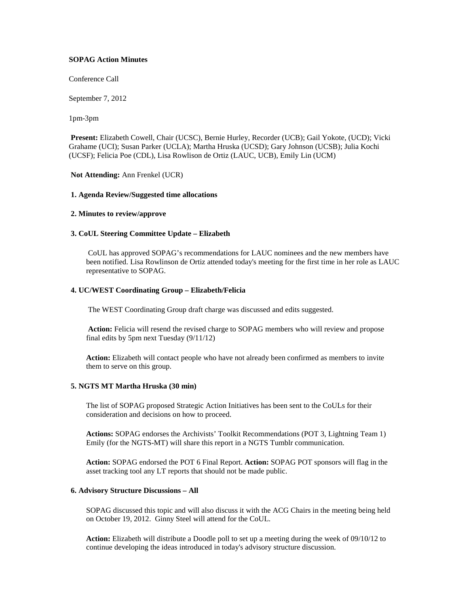# **SOPAG Action Minutes**

Conference Call

September 7, 2012

1pm-3pm

**Present:** Elizabeth Cowell, Chair (UCSC), Bernie Hurley, Recorder (UCB); Gail Yokote, (UCD); Vicki Grahame (UCI); Susan Parker (UCLA); Martha Hruska (UCSD); Gary Johnson (UCSB); Julia Kochi (UCSF); Felicia Poe (CDL), Lisa Rowlison de Ortiz (LAUC, UCB), Emily Lin (UCM)

# **Not Attending:** Ann Frenkel (UCR)

# **1. Agenda Review/Suggested time allocations**

# **2. Minutes to review/approve**

# **3. CoUL Steering Committee Update – Elizabeth**

CoUL has approved SOPAG's recommendations for LAUC nominees and the new members have been notified. Lisa Rowlinson de Ortiz attended today's meeting for the first time in her role as LAUC representative to SOPAG.

# **4. UC/WEST Coordinating Group – Elizabeth/Felicia**

The WEST Coordinating Group draft charge was discussed and edits suggested.

**Action:** Felicia will resend the revised charge to SOPAG members who will review and propose final edits by 5pm next Tuesday (9/11/12)

**Action:** Elizabeth will contact people who have not already been confirmed as members to invite them to serve on this group.

# **5. NGTS MT Martha Hruska (30 min)**

The list of SOPAG proposed Strategic Action Initiatives has been sent to the CoULs for their consideration and decisions on how to proceed.

**Actions:** SOPAG endorses the Archivists' Toolkit Recommendations (POT 3, Lightning Team 1) Emily (for the NGTS-MT) will share this report in a NGTS Tumblr communication.

**Action:** SOPAG endorsed the POT 6 Final Report. **Action:** SOPAG POT sponsors will flag in the asset tracking tool any LT reports that should not be made public.

#### **6. Advisory Structure Discussions – All**

SOPAG discussed this topic and will also discuss it with the ACG Chairs in the meeting being held on October 19, 2012. Ginny Steel will attend for the CoUL.

**Action:** Elizabeth will distribute a Doodle poll to set up a meeting during the week of 09/10/12 to continue developing the ideas introduced in today's advisory structure discussion.